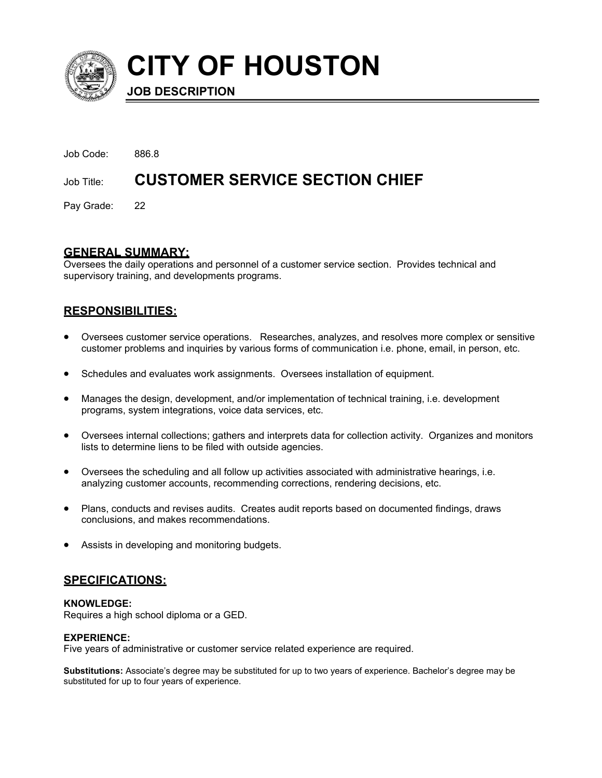

**CITY OF HOUSTON**

**JOB DESCRIPTION**

Job Code: 886.8 Job Title: **CUSTOMER SERVICE SECTION CHIEF** 

Pay Grade: 22

# **GENERAL SUMMARY:**

Oversees the daily operations and personnel of a customer service section. Provides technical and supervisory training, and developments programs.

# **RESPONSIBILITIES:**

- Oversees customer service operations. Researches, analyzes, and resolves more complex or sensitive customer problems and inquiries by various forms of communication i.e. phone, email, in person, etc.
- Schedules and evaluates work assignments. Oversees installation of equipment.
- Manages the design, development, and/or implementation of technical training, i.e. development programs, system integrations, voice data services, etc.
- Oversees internal collections; gathers and interprets data for collection activity. Organizes and monitors lists to determine liens to be filed with outside agencies.
- Oversees the scheduling and all follow up activities associated with administrative hearings, i.e. analyzing customer accounts, recommending corrections, rendering decisions, etc.
- Plans, conducts and revises audits. Creates audit reports based on documented findings, draws conclusions, and makes recommendations.
- Assists in developing and monitoring budgets.

# **SPECIFICATIONS:**

# **KNOWLEDGE:**

Requires a high school diploma or a GED.

# **EXPERIENCE:**

Five years of administrative or customer service related experience are required.

**Substitutions:** Associate's degree may be substituted for up to two years of experience. Bachelor's degree may be substituted for up to four years of experience.